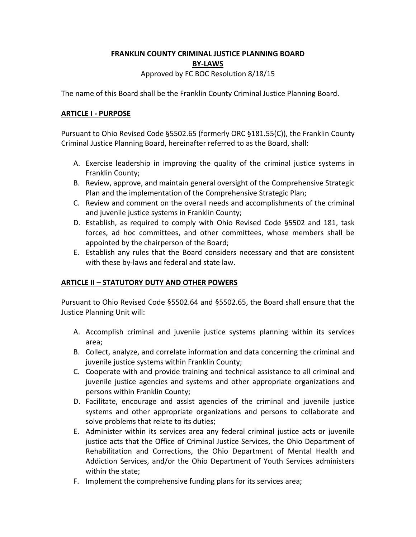## **FRANKLIN COUNTY CRIMINAL JUSTICE PLANNING BOARD BY-LAWS** Approved by FC BOC Resolution 8/18/15

The name of this Board shall be the Franklin County Criminal Justice Planning Board.

### **ARTICLE I - PURPOSE**

Pursuant to Ohio Revised Code §5502.65 (formerly ORC §181.55(C)), the Franklin County Criminal Justice Planning Board, hereinafter referred to as the Board, shall:

- A. Exercise leadership in improving the quality of the criminal justice systems in Franklin County;
- B. Review, approve, and maintain general oversight of the Comprehensive Strategic Plan and the implementation of the Comprehensive Strategic Plan;
- C. Review and comment on the overall needs and accomplishments of the criminal and juvenile justice systems in Franklin County;
- D. Establish, as required to comply with Ohio Revised Code §5502 and 181, task forces, ad hoc committees, and other committees, whose members shall be appointed by the chairperson of the Board;
- E. Establish any rules that the Board considers necessary and that are consistent with these by-laws and federal and state law.

## **ARTICLE II – STATUTORY DUTY AND OTHER POWERS**

Pursuant to Ohio Revised Code §5502.64 and §5502.65, the Board shall ensure that the Justice Planning Unit will:

- A. Accomplish criminal and juvenile justice systems planning within its services area;
- B. Collect, analyze, and correlate information and data concerning the criminal and juvenile justice systems within Franklin County;
- C. Cooperate with and provide training and technical assistance to all criminal and juvenile justice agencies and systems and other appropriate organizations and persons within Franklin County;
- D. Facilitate, encourage and assist agencies of the criminal and juvenile justice systems and other appropriate organizations and persons to collaborate and solve problems that relate to its duties;
- E. Administer within its services area any federal criminal justice acts or juvenile justice acts that the Office of Criminal Justice Services, the Ohio Department of Rehabilitation and Corrections, the Ohio Department of Mental Health and Addiction Services, and/or the Ohio Department of Youth Services administers within the state;
- F. Implement the comprehensive funding plans for its services area;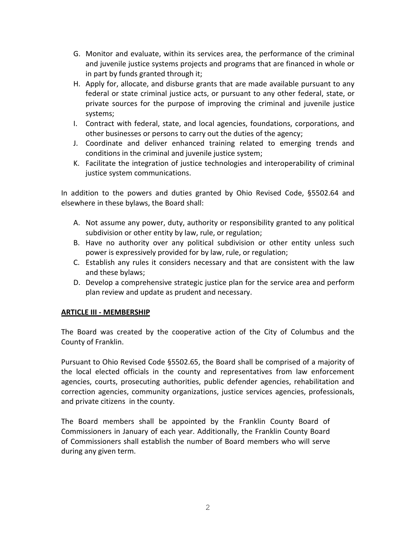- G. Monitor and evaluate, within its services area, the performance of the criminal and juvenile justice systems projects and programs that are financed in whole or in part by funds granted through it;
- H. Apply for, allocate, and disburse grants that are made available pursuant to any federal or state criminal justice acts, or pursuant to any other federal, state, or private sources for the purpose of improving the criminal and juvenile justice systems;
- I. Contract with federal, state, and local agencies, foundations, corporations, and other businesses or persons to carry out the duties of the agency;
- J. Coordinate and deliver enhanced training related to emerging trends and conditions in the criminal and juvenile justice system;
- K. Facilitate the integration of justice technologies and interoperability of criminal justice system communications.

In addition to the powers and duties granted by Ohio Revised Code, §5502.64 and elsewhere in these bylaws, the Board shall:

- A. Not assume any power, duty, authority or responsibility granted to any political subdivision or other entity by law, rule, or regulation;
- B. Have no authority over any political subdivision or other entity unless such power is expressively provided for by law, rule, or regulation;
- C. Establish any rules it considers necessary and that are consistent with the law and these bylaws;
- D. Develop a comprehensive strategic justice plan for the service area and perform plan review and update as prudent and necessary.

## **ARTICLE III - MEMBERSHIP**

The Board was created by the cooperative action of the City of Columbus and the County of Franklin.

Pursuant to Ohio Revised Code §5502.65, the Board shall be comprised of a majority of the local elected officials in the county and representatives from law enforcement agencies, courts, prosecuting authorities, public defender agencies, rehabilitation and correction agencies, community organizations, justice services agencies, professionals, and private citizens in the county.

The Board members shall be appointed by the Franklin County Board of Commissioners in January of each year. Additionally, the Franklin County Board of Commissioners shall establish the number of Board members who will serve during any given term.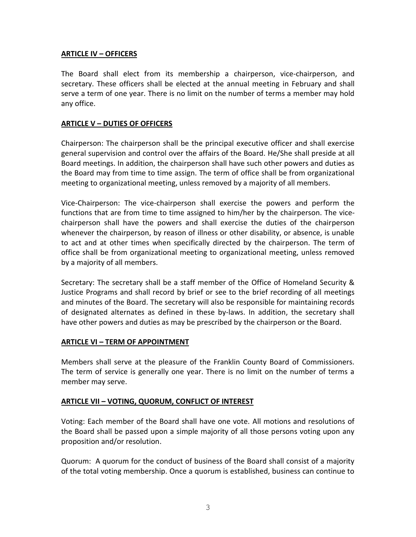### **ARTICLE IV – OFFICERS**

The Board shall elect from its membership a chairperson, vice-chairperson, and secretary. These officers shall be elected at the annual meeting in February and shall serve a term of one year. There is no limit on the number of terms a member may hold any office.

#### **ARTICLE V – DUTIES OF OFFICERS**

Chairperson: The chairperson shall be the principal executive officer and shall exercise general supervision and control over the affairs of the Board. He/She shall preside at all Board meetings. In addition, the chairperson shall have such other powers and duties as the Board may from time to time assign. The term of office shall be from organizational meeting to organizational meeting, unless removed by a majority of all members.

Vice-Chairperson: The vice-chairperson shall exercise the powers and perform the functions that are from time to time assigned to him/her by the chairperson. The vicechairperson shall have the powers and shall exercise the duties of the chairperson whenever the chairperson, by reason of illness or other disability, or absence, is unable to act and at other times when specifically directed by the chairperson. The term of office shall be from organizational meeting to organizational meeting, unless removed by a majority of all members.

Secretary: The secretary shall be a staff member of the Office of Homeland Security & Justice Programs and shall record by brief or see to the brief recording of all meetings and minutes of the Board. The secretary will also be responsible for maintaining records of designated alternates as defined in these by-laws. In addition, the secretary shall have other powers and duties as may be prescribed by the chairperson or the Board.

#### **ARTICLE VI – TERM OF APPOINTMENT**

Members shall serve at the pleasure of the Franklin County Board of Commissioners. The term of service is generally one year. There is no limit on the number of terms a member may serve.

#### **ARTICLE VII – VOTING, QUORUM, CONFLICT OF INTEREST**

Voting: Each member of the Board shall have one vote. All motions and resolutions of the Board shall be passed upon a simple majority of all those persons voting upon any proposition and/or resolution.

Quorum: A quorum for the conduct of business of the Board shall consist of a majority of the total voting membership. Once a quorum is established, business can continue to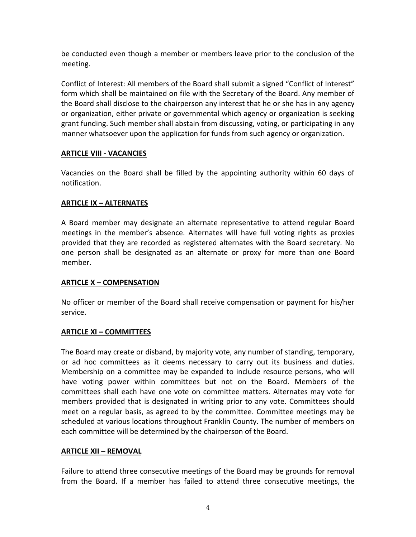be conducted even though a member or members leave prior to the conclusion of the meeting.

Conflict of Interest: All members of the Board shall submit a signed "Conflict of Interest" form which shall be maintained on file with the Secretary of the Board. Any member of the Board shall disclose to the chairperson any interest that he or she has in any agency or organization, either private or governmental which agency or organization is seeking grant funding. Such member shall abstain from discussing, voting, or participating in any manner whatsoever upon the application for funds from such agency or organization.

## **ARTICLE VIII - VACANCIES**

Vacancies on the Board shall be filled by the appointing authority within 60 days of notification.

### **ARTICLE IX – ALTERNATES**

A Board member may designate an alternate representative to attend regular Board meetings in the member's absence. Alternates will have full voting rights as proxies provided that they are recorded as registered alternates with the Board secretary. No one person shall be designated as an alternate or proxy for more than one Board member.

## **ARTICLE X – COMPENSATION**

No officer or member of the Board shall receive compensation or payment for his/her service.

#### **ARTICLE XI – COMMITTEES**

The Board may create or disband, by majority vote, any number of standing, temporary, or ad hoc committees as it deems necessary to carry out its business and duties. Membership on a committee may be expanded to include resource persons, who will have voting power within committees but not on the Board. Members of the committees shall each have one vote on committee matters. Alternates may vote for members provided that is designated in writing prior to any vote. Committees should meet on a regular basis, as agreed to by the committee. Committee meetings may be scheduled at various locations throughout Franklin County. The number of members on each committee will be determined by the chairperson of the Board.

#### **ARTICLE XII – REMOVAL**

Failure to attend three consecutive meetings of the Board may be grounds for removal from the Board. If a member has failed to attend three consecutive meetings, the